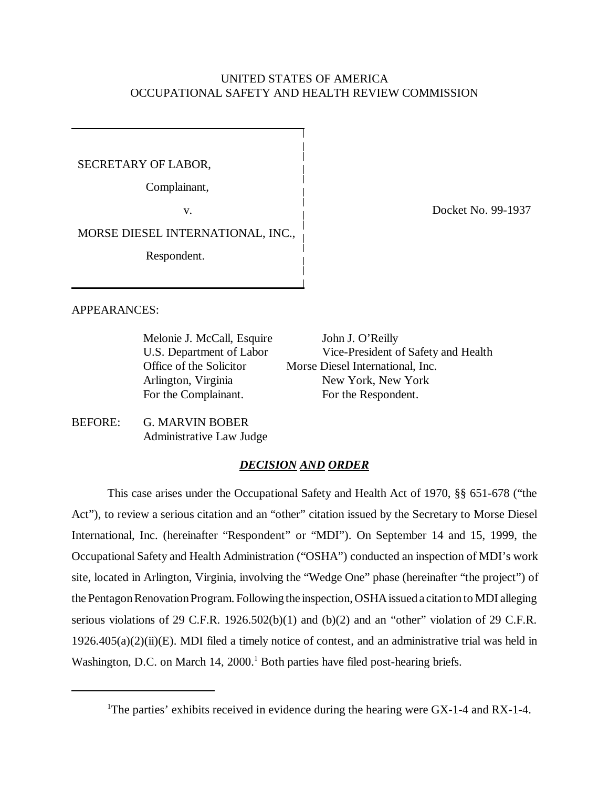## UNITED STATES OF AMERICA OCCUPATIONAL SAFETY AND HEALTH REVIEW COMMISSION

SECRETARY OF LABOR,

Complainant,

MORSE DIESEL INTERNATIONAL, INC.,

Respondent.

v. Contract No. 29-1937

APPEARANCES:

Melonie J. McCall, Esquire John J. O'Reilly

U.S. Department of Labor Vice-President of Safety and Health Office of the Solicitor Morse Diesel International, Inc. Arlington, Virginia New York, New York For the Complainant. For the Respondent.

BEFORE: G. MARVIN BOBER Administrative Law Judge

## *DECISION AND ORDER*

This case arises under the Occupational Safety and Health Act of 1970, §§ 651-678 ("the Act"), to review a serious citation and an "other" citation issued by the Secretary to Morse Diesel International, Inc. (hereinafter "Respondent" or "MDI"). On September 14 and 15, 1999, the Occupational Safety and Health Administration ("OSHA") conducted an inspection of MDI's work site, located in Arlington, Virginia, involving the "Wedge One" phase (hereinafter "the project") of the Pentagon Renovation Program. Following the inspection, OSHA issued a citation to MDI alleging serious violations of 29 C.F.R. 1926.502(b)(1) and (b)(2) and an "other" violation of 29 C.F.R.  $1926.405(a)(2)(ii)(E)$ . MDI filed a timely notice of contest, and an administrative trial was held in Washington, D.C. on March 14, 2000.<sup>1</sup> Both parties have filed post-hearing briefs.

<sup>&</sup>lt;sup>1</sup>The parties' exhibits received in evidence during the hearing were GX-1-4 and RX-1-4.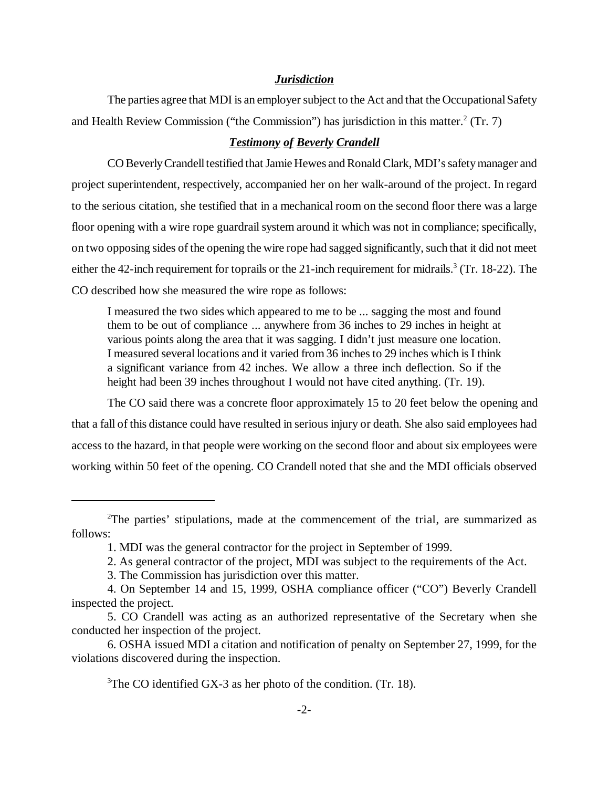#### *Jurisdiction*

The parties agree that MDI is an employer subject to the Act and that the Occupational Safety and Health Review Commission ("the Commission") has jurisdiction in this matter. $2$  (Tr. 7)

#### *Testimony of Beverly Crandell*

CO Beverly Crandell testified that Jamie Hewes and Ronald Clark, MDI's safety manager and project superintendent, respectively, accompanied her on her walk-around of the project. In regard to the serious citation, she testified that in a mechanical room on the second floor there was a large floor opening with a wire rope guardrail system around it which was not in compliance; specifically, on two opposing sides of the opening the wire rope had sagged significantly, such that it did not meet either the 42-inch requirement for toprails or the 21-inch requirement for midrails.<sup>3</sup> (Tr. 18-22). The CO described how she measured the wire rope as follows:

I measured the two sides which appeared to me to be ... sagging the most and found them to be out of compliance ... anywhere from 36 inches to 29 inches in height at various points along the area that it was sagging. I didn't just measure one location. I measured several locations and it varied from 36 inches to 29 inches which is I think a significant variance from 42 inches. We allow a three inch deflection. So if the height had been 39 inches throughout I would not have cited anything. (Tr. 19).

The CO said there was a concrete floor approximately 15 to 20 feet below the opening and that a fall of this distance could have resulted in serious injury or death. She also said employees had access to the hazard, in that people were working on the second floor and about six employees were working within 50 feet of the opening. CO Crandell noted that she and the MDI officials observed

<sup>&</sup>lt;sup>2</sup>The parties' stipulations, made at the commencement of the trial, are summarized as follows:

<sup>1.</sup> MDI was the general contractor for the project in September of 1999.

<sup>2.</sup> As general contractor of the project, MDI was subject to the requirements of the Act.

<sup>3.</sup> The Commission has jurisdiction over this matter.

<sup>4.</sup> On September 14 and 15, 1999, OSHA compliance officer ("CO") Beverly Crandell inspected the project.

<sup>5.</sup> CO Crandell was acting as an authorized representative of the Secretary when she conducted her inspection of the project.

<sup>6.</sup> OSHA issued MDI a citation and notification of penalty on September 27, 1999, for the violations discovered during the inspection.

<sup>&</sup>lt;sup>3</sup>The CO identified GX-3 as her photo of the condition. (Tr. 18).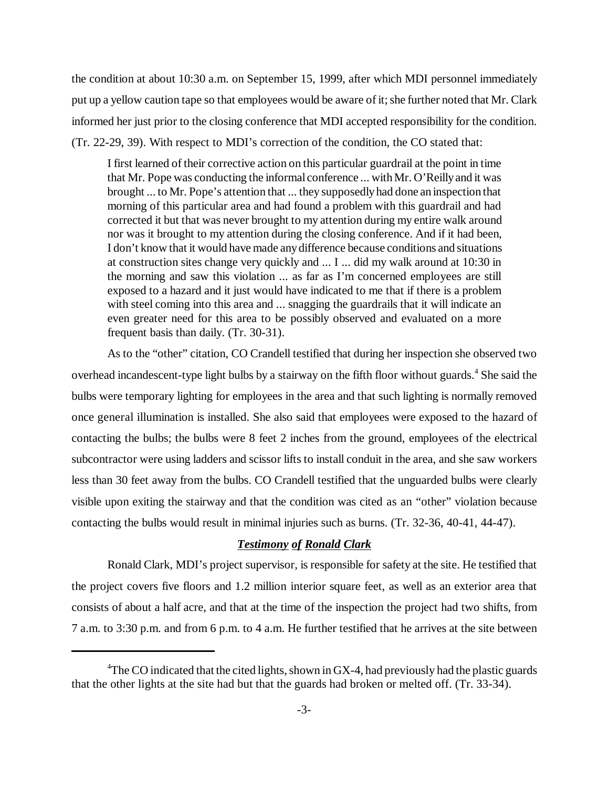the condition at about 10:30 a.m. on September 15, 1999, after which MDI personnel immediately put up a yellow caution tape so that employees would be aware of it; she further noted that Mr. Clark informed her just prior to the closing conference that MDI accepted responsibility for the condition. (Tr. 22-29, 39). With respect to MDI's correction of the condition, the CO stated that:

I first learned of their corrective action on this particular guardrail at the point in time that Mr. Pope was conducting the informal conference ... with Mr. O'Reilly and it was brought ... to Mr. Pope's attention that ... they supposedly had done an inspection that morning of this particular area and had found a problem with this guardrail and had corrected it but that was never brought to my attention during my entire walk around nor was it brought to my attention during the closing conference. And if it had been, I don't know that it would have made any difference because conditions and situations at construction sites change very quickly and ... I ... did my walk around at 10:30 in the morning and saw this violation ... as far as I'm concerned employees are still exposed to a hazard and it just would have indicated to me that if there is a problem with steel coming into this area and ... snagging the guardrails that it will indicate an even greater need for this area to be possibly observed and evaluated on a more frequent basis than daily. (Tr. 30-31).

As to the "other" citation, CO Crandell testified that during her inspection she observed two overhead incandescent-type light bulbs by a stairway on the fifth floor without guards.<sup>4</sup> She said the bulbs were temporary lighting for employees in the area and that such lighting is normally removed once general illumination is installed. She also said that employees were exposed to the hazard of contacting the bulbs; the bulbs were 8 feet 2 inches from the ground, employees of the electrical subcontractor were using ladders and scissor lifts to install conduit in the area, and she saw workers less than 30 feet away from the bulbs. CO Crandell testified that the unguarded bulbs were clearly visible upon exiting the stairway and that the condition was cited as an "other" violation because contacting the bulbs would result in minimal injuries such as burns. (Tr. 32-36, 40-41, 44-47).

### *Testimony of Ronald Clark*

Ronald Clark, MDI's project supervisor, is responsible for safety at the site. He testified that the project covers five floors and 1.2 million interior square feet, as well as an exterior area that consists of about a half acre, and that at the time of the inspection the project had two shifts, from 7 a.m. to 3:30 p.m. and from 6 p.m. to 4 a.m. He further testified that he arrives at the site between

<sup>&</sup>lt;sup>4</sup>The CO indicated that the cited lights, shown in GX-4, had previously had the plastic guards that the other lights at the site had but that the guards had broken or melted off. (Tr. 33-34).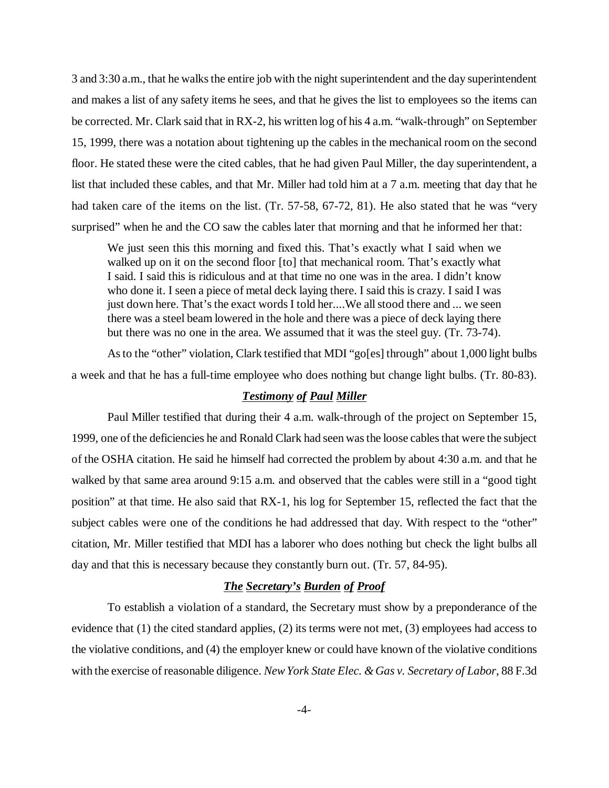3 and 3:30 a.m., that he walks the entire job with the night superintendent and the day superintendent and makes a list of any safety items he sees, and that he gives the list to employees so the items can be corrected. Mr. Clark said that in RX-2, his written log of his 4 a.m. "walk-through" on September 15, 1999, there was a notation about tightening up the cables in the mechanical room on the second floor. He stated these were the cited cables, that he had given Paul Miller, the day superintendent, a list that included these cables, and that Mr. Miller had told him at a 7 a.m. meeting that day that he had taken care of the items on the list. (Tr. 57-58, 67-72, 81). He also stated that he was "very surprised" when he and the CO saw the cables later that morning and that he informed her that:

We just seen this this morning and fixed this. That's exactly what I said when we walked up on it on the second floor [to] that mechanical room. That's exactly what I said. I said this is ridiculous and at that time no one was in the area. I didn't know who done it. I seen a piece of metal deck laying there. I said this is crazy. I said I was just down here. That's the exact words I told her....We all stood there and ... we seen there was a steel beam lowered in the hole and there was a piece of deck laying there but there was no one in the area. We assumed that it was the steel guy. (Tr. 73-74).

As to the "other" violation, Clark testified that MDI "go[es] through" about 1,000 light bulbs a week and that he has a full-time employee who does nothing but change light bulbs. (Tr. 80-83).

#### *Testimony of Paul Miller*

Paul Miller testified that during their 4 a.m. walk-through of the project on September 15, 1999, one of the deficiencies he and Ronald Clark had seen was the loose cables that were the subject of the OSHA citation. He said he himself had corrected the problem by about 4:30 a.m. and that he walked by that same area around 9:15 a.m. and observed that the cables were still in a "good tight" position" at that time. He also said that RX-1, his log for September 15, reflected the fact that the subject cables were one of the conditions he had addressed that day. With respect to the "other" citation, Mr. Miller testified that MDI has a laborer who does nothing but check the light bulbs all day and that this is necessary because they constantly burn out. (Tr. 57, 84-95).

#### *The Secretary's Burden of Proof*

To establish a violation of a standard, the Secretary must show by a preponderance of the evidence that (1) the cited standard applies, (2) its terms were not met, (3) employees had access to the violative conditions, and (4) the employer knew or could have known of the violative conditions with the exercise of reasonable diligence. *New York State Elec. & Gas v. Secretary of Labor*, 88 F.3d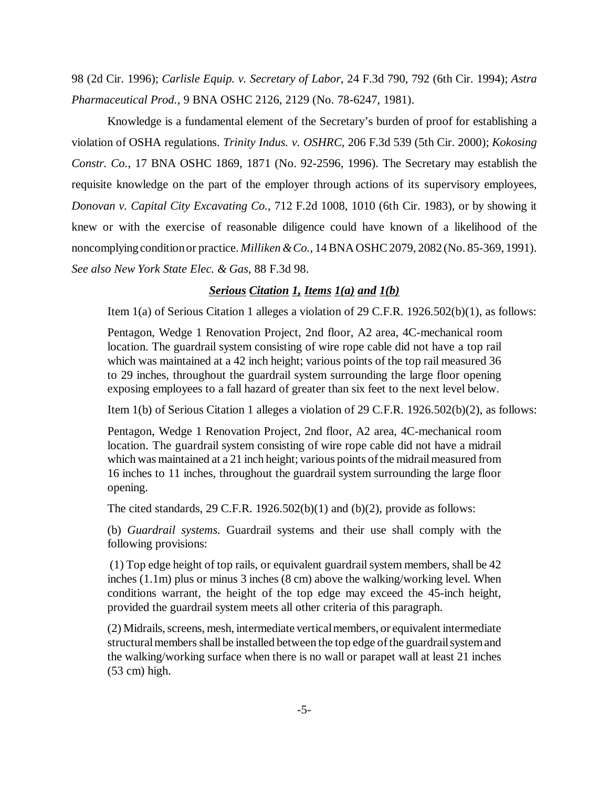98 (2d Cir. 1996); *Carlisle Equip. v. Secretary of Labor*, 24 F.3d 790, 792 (6th Cir. 1994); *Astra Pharmaceutical Prod.*, 9 BNA OSHC 2126, 2129 (No. 78-6247, 1981).

Knowledge is a fundamental element of the Secretary's burden of proof for establishing a violation of OSHA regulations. *Trinity Indus. v. OSHRC*, 206 F.3d 539 (5th Cir. 2000); *Kokosing Constr. Co.*, 17 BNA OSHC 1869, 1871 (No. 92-2596, 1996). The Secretary may establish the requisite knowledge on the part of the employer through actions of its supervisory employees, *Donovan v. Capital City Excavating Co.*, 712 F.2d 1008, 1010 (6th Cir. 1983), or by showing it knew or with the exercise of reasonable diligence could have known of a likelihood of the noncomplying condition or practice. *Milliken & Co.*, 14 BNA OSHC 2079, 2082 (No. 85-369, 1991). *See also New York State Elec. & Gas*, 88 F.3d 98.

#### *Serious Citation 1, Items 1(a) and 1(b)*

Item 1(a) of Serious Citation 1 alleges a violation of 29 C.F.R. 1926.502(b)(1), as follows:

Pentagon, Wedge 1 Renovation Project, 2nd floor, A2 area, 4C-mechanical room location. The guardrail system consisting of wire rope cable did not have a top rail which was maintained at a 42 inch height; various points of the top rail measured 36 to 29 inches, throughout the guardrail system surrounding the large floor opening exposing employees to a fall hazard of greater than six feet to the next level below.

Item 1(b) of Serious Citation 1 alleges a violation of 29 C.F.R. 1926.502(b)(2), as follows:

Pentagon, Wedge 1 Renovation Project, 2nd floor, A2 area, 4C-mechanical room location. The guardrail system consisting of wire rope cable did not have a midrail which was maintained at a 21 inch height; various points of the midrail measured from 16 inches to 11 inches, throughout the guardrail system surrounding the large floor opening.

The cited standards,  $29$  C.F.R. 1926.502(b)(1) and (b)(2), provide as follows:

(b) *Guardrail systems.* Guardrail systems and their use shall comply with the following provisions:

 (1) Top edge height of top rails, or equivalent guardrail system members, shall be 42 inches (1.1m) plus or minus 3 inches (8 cm) above the walking/working level. When conditions warrant, the height of the top edge may exceed the 45-inch height, provided the guardrail system meets all other criteria of this paragraph.

(2) Midrails, screens, mesh, intermediate vertical members, or equivalent intermediate structural members shall be installed between the top edge of the guardrail system and the walking/working surface when there is no wall or parapet wall at least 21 inches (53 cm) high.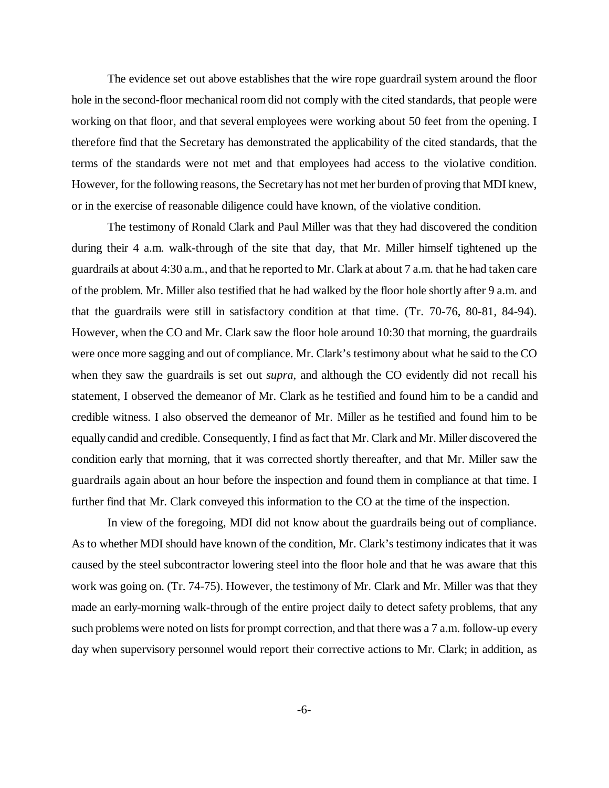The evidence set out above establishes that the wire rope guardrail system around the floor hole in the second-floor mechanical room did not comply with the cited standards, that people were working on that floor, and that several employees were working about 50 feet from the opening. I therefore find that the Secretary has demonstrated the applicability of the cited standards, that the terms of the standards were not met and that employees had access to the violative condition. However, for the following reasons, the Secretary has not met her burden of proving that MDI knew, or in the exercise of reasonable diligence could have known, of the violative condition.

The testimony of Ronald Clark and Paul Miller was that they had discovered the condition during their 4 a.m. walk-through of the site that day, that Mr. Miller himself tightened up the guardrails at about 4:30 a.m., and that he reported to Mr. Clark at about 7 a.m. that he had taken care of the problem. Mr. Miller also testified that he had walked by the floor hole shortly after 9 a.m. and that the guardrails were still in satisfactory condition at that time. (Tr. 70-76, 80-81, 84-94). However, when the CO and Mr. Clark saw the floor hole around 10:30 that morning, the guardrails were once more sagging and out of compliance. Mr. Clark's testimony about what he said to the CO when they saw the guardrails is set out *supra*, and although the CO evidently did not recall his statement, I observed the demeanor of Mr. Clark as he testified and found him to be a candid and credible witness. I also observed the demeanor of Mr. Miller as he testified and found him to be equally candid and credible. Consequently, I find as fact that Mr. Clark and Mr. Miller discovered the condition early that morning, that it was corrected shortly thereafter, and that Mr. Miller saw the guardrails again about an hour before the inspection and found them in compliance at that time. I further find that Mr. Clark conveyed this information to the CO at the time of the inspection.

In view of the foregoing, MDI did not know about the guardrails being out of compliance. As to whether MDI should have known of the condition, Mr. Clark's testimony indicates that it was caused by the steel subcontractor lowering steel into the floor hole and that he was aware that this work was going on. (Tr. 74-75). However, the testimony of Mr. Clark and Mr. Miller was that they made an early-morning walk-through of the entire project daily to detect safety problems, that any such problems were noted on lists for prompt correction, and that there was a 7 a.m. follow-up every day when supervisory personnel would report their corrective actions to Mr. Clark; in addition, as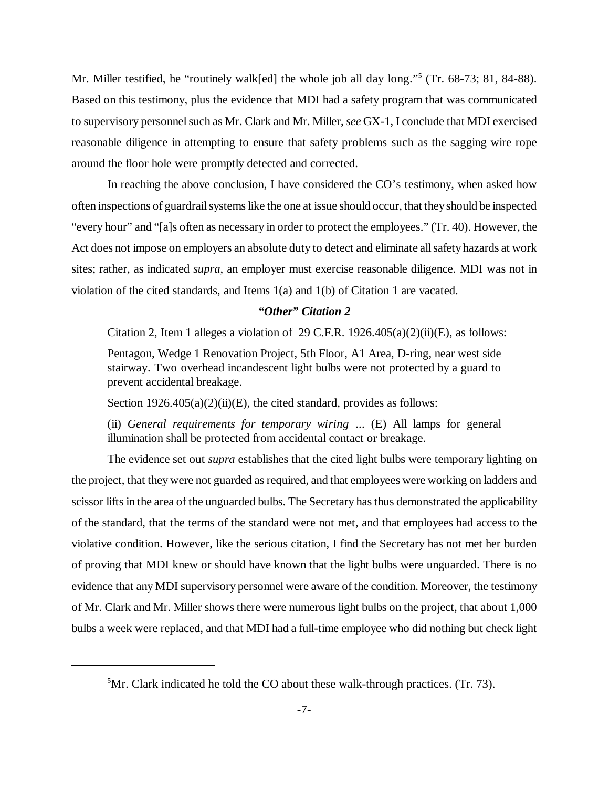Mr. Miller testified, he "routinely walk[ed] the whole job all day long."<sup>5</sup> (Tr. 68-73; 81, 84-88). Based on this testimony, plus the evidence that MDI had a safety program that was communicated to supervisory personnel such as Mr. Clark and Mr. Miller, *see* GX-1, I conclude that MDI exercised reasonable diligence in attempting to ensure that safety problems such as the sagging wire rope around the floor hole were promptly detected and corrected.

In reaching the above conclusion, I have considered the CO's testimony, when asked how often inspections of guardrail systems like the one at issue should occur, that they should be inspected "every hour" and "[a]s often as necessary in order to protect the employees." (Tr. 40). However, the Act does not impose on employers an absolute duty to detect and eliminate all safety hazards at work sites; rather, as indicated *supra*, an employer must exercise reasonable diligence. MDI was not in violation of the cited standards, and Items 1(a) and 1(b) of Citation 1 are vacated.

# *"Other" Citation 2*

Citation 2, Item 1 alleges a violation of 29 C.F.R.  $1926.405(a)(2)(ii)(E)$ , as follows:

Pentagon, Wedge 1 Renovation Project, 5th Floor, A1 Area, D-ring, near west side stairway. Two overhead incandescent light bulbs were not protected by a guard to prevent accidental breakage.

Section  $1926.405(a)(2)(ii)(E)$ , the cited standard, provides as follows:

(ii) *General requirements for temporary wiring* ... (E) All lamps for general illumination shall be protected from accidental contact or breakage.

The evidence set out *supra* establishes that the cited light bulbs were temporary lighting on the project, that they were not guarded as required, and that employees were working on ladders and scissor lifts in the area of the unguarded bulbs. The Secretary has thus demonstrated the applicability of the standard, that the terms of the standard were not met, and that employees had access to the violative condition. However, like the serious citation, I find the Secretary has not met her burden of proving that MDI knew or should have known that the light bulbs were unguarded. There is no evidence that any MDI supervisory personnel were aware of the condition. Moreover, the testimony of Mr. Clark and Mr. Miller shows there were numerous light bulbs on the project, that about 1,000 bulbs a week were replaced, and that MDI had a full-time employee who did nothing but check light

<sup>&</sup>lt;sup>5</sup>Mr. Clark indicated he told the CO about these walk-through practices. (Tr. 73).